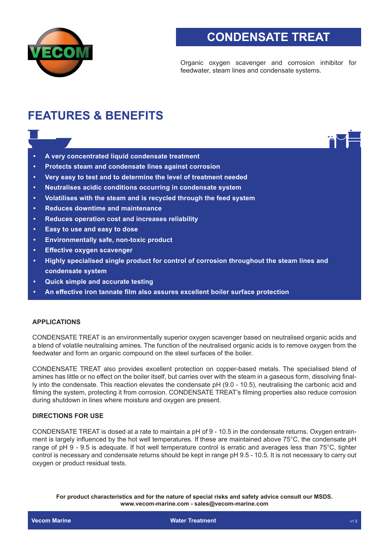

# **CONDENSATE TREAT**

Organic oxygen scavenger and corrosion inhibitor for feedwater, steam lines and condensate systems.

## **FEATURES & BENEFITS**

- **• A very concentrated liquid condensate treatment**
- **• Protects steam and condensate lines against corrosion**
- **• Very easy to test and to determine the level of treatment needed**
- **• Neutralises acidic conditions occurring in condensate system**
- **• Volatilises with the steam and is recycled through the feed system**
- **• Reduces downtime and maintenance**
- **• Reduces operation cost and increases reliability**
- **• Easy to use and easy to dose**
- **• Environmentally safe, non-toxic product**
- **• Effective oxygen scavenger**
- **• Highly specialised single product for control of corrosion throughout the steam lines and condensate system**
- **• Quick simple and accurate testing**
- **• An effective iron tannate film also assures excellent boiler surface protection**

## **APPLICATIONS**

CONDENSATE TREAT is an environmentally superior oxygen scavenger based on neutralised organic acids and a blend of volatile neutralising amines. The function of the neutralised organic acids is to remove oxygen from the feedwater and form an organic compound on the steel surfaces of the boiler.

CONDENSATE TREAT also provides excellent protection on copper-based metals. The specialised blend of amines has little or no effect on the boiler itself, but carries over with the steam in a gaseous form, dissolving finally into the condensate. This reaction elevates the condensate pH (9.0 - 10.5), neutralising the carbonic acid and filming the system, protecting it from corrosion. CONDENSATE TREAT's filming properties also reduce corrosion during shutdown in lines where moisture and oxygen are present.

### **DIRECTIONS FOR USE**

CONDENSATE TREAT is dosed at a rate to maintain a pH of 9 - 10.5 in the condensate returns. Oxygen entrainment is largely influenced by the hot well temperatures. If these are maintained above 75°C, the condensate pH range of pH 9 - 9.5 is adequate. If hot well temperature control is erratic and averages less than 75°C, tighter control is necessary and condensate returns should be kept in range pH 9.5 - 10.5. It is not necessary to carry out oxygen or product residual tests.

**For product characteristics and for the nature of special risks and safety advice consult our MSDS. www.vecom-marine.com - sales@vecom-marine.com**

**Vecom Marine Water Treatment and Water Treatment and Water Treatment and Water Treatment** and Water Treatment and Water Treatment and Water Treatment and Water Treatment and Water Treatment and Water Treatment and Water T